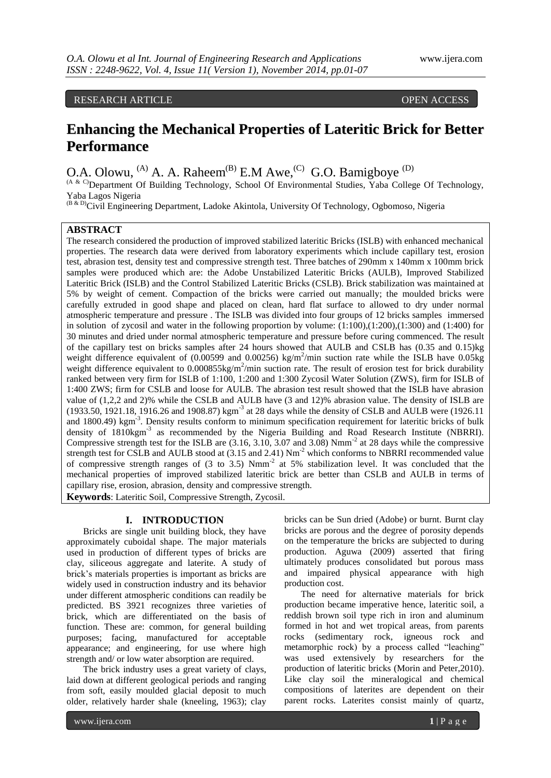RESEARCH ARTICLE **CONTRACT ARTICLE** AND LOT AND LOT AND LOT OPEN ACCESS OPEN ASSESS

# **Enhancing the Mechanical Properties of Lateritic Brick for Better Performance**

O.A. Olowu,  $^{(A)}$  A. A. Raheem $^{(B)}$  E.M Awe,  $^{(C)}$  G.O. Bamigboye  $^{(D)}$ 

(A & C)Department Of Building Technology, School Of Environmental Studies, Yaba College Of Technology, Yaba Lagos Nigeria

(B & D)Civil Engineering Department, Ladoke Akintola, University Of Technology, Ogbomoso, Nigeria

### **ABSTRACT**

The research considered the production of improved stabilized lateritic Bricks (ISLB) with enhanced mechanical properties. The research data were derived from laboratory experiments which include capillary test, erosion test, abrasion test, density test and compressive strength test. Three batches of 290mm x 140mm x 100mm brick samples were produced which are: the Adobe Unstabilized Lateritic Bricks (AULB), Improved Stabilized Lateritic Brick (ISLB) and the Control Stabilized Lateritic Bricks (CSLB). Brick stabilization was maintained at 5% by weight of cement. Compaction of the bricks were carried out manually; the moulded bricks were carefully extruded in good shape and placed on clean, hard flat surface to allowed to dry under normal atmospheric temperature and pressure . The ISLB was divided into four groups of 12 bricks samples immersed in solution of zycosil and water in the following proportion by volume: (1:100),(1:200),(1:300) and (1:400) for 30 minutes and dried under normal atmospheric temperature and pressure before curing commenced. The result of the capillary test on bricks samples after 24 hours showed that AULB and CSLB has (0.35 and 0.15)kg weight difference equivalent of  $(0.00599$  and  $0.00256)$  kg/m<sup>2</sup>/min suction rate while the ISLB have  $0.05$ kg weight difference equivalent to  $0.000855$ kg/m<sup>2</sup>/min suction rate. The result of erosion test for brick durability ranked between very firm for ISLB of 1:100, 1:200 and 1:300 Zycosil Water Solution (ZWS), firm for ISLB of 1:400 ZWS; firm for CSLB and loose for AULB. The abrasion test result showed that the ISLB have abrasion value of (1,2,2 and 2)% while the CSLB and AULB have (3 and 12)% abrasion value. The density of ISLB are (1933.50, 1921.18, 1916.26 and 1908.87) kgm<sup>-3</sup> at 28 days while the density of CSLB and AULB were (1926.11 and 1800.49) kgm<sup>-3</sup>. Density results conform to minimum specification requirement for lateritic bricks of bulk density of 1810kgm<sup>-3</sup> as recommended by the Nigeria Building and Road Research Institute (NBRRI). Compressive strength test for the ISLB are  $(3.16, 3.10, 3.07, 3.07)$  and  $(3.08)$  Nmm<sup>-2</sup> at 28 days while the compressive strength test for CSLB and AULB stood at (3.15 and 2.41) Nm<sup>-2</sup> which conforms to NBRRI recommended value of compressive strength ranges of (3 to 3.5) Nmm-2 at 5% stabilization level. It was concluded that the mechanical properties of improved stabilized lateritic brick are better than CSLB and AULB in terms of capillary rise, erosion, abrasion, density and compressive strength. **Keywords**: Lateritic Soil, Compressive Strength, Zycosil.

### **I. INTRODUCTION**

Bricks are single unit building block, they have approximately cuboidal shape. The major materials used in production of different types of bricks are clay, siliceous aggregate and laterite. A study of brick's materials properties is important as bricks are widely used in construction industry and its behavior under different atmospheric conditions can readily be predicted. BS 3921 recognizes three varieties of brick, which are differentiated on the basis of function. These are: common, for general building purposes; facing, manufactured for acceptable appearance; and engineering, for use where high strength and/ or low water absorption are required.

The brick industry uses a great variety of clays, laid down at different geological periods and ranging from soft, easily moulded glacial deposit to much older, relatively harder shale (kneeling, 1963); clay

bricks can be Sun dried (Adobe) or burnt. Burnt clay bricks are porous and the degree of porosity depends on the temperature the bricks are subjected to during production. Aguwa (2009) asserted that firing ultimately produces consolidated but porous mass and impaired physical appearance with high production cost.

The need for alternative materials for brick production became imperative hence, lateritic soil, a reddish brown soil type rich in iron and aluminum formed in hot and wet tropical areas, from parents rocks (sedimentary rock, igneous rock and metamorphic rock) by a process called "leaching" was used extensively by researchers for the production of lateritic bricks (Morin and Peter,2010). Like clay soil the mineralogical and chemical compositions of laterites are dependent on their parent rocks. Laterites consist mainly of quartz,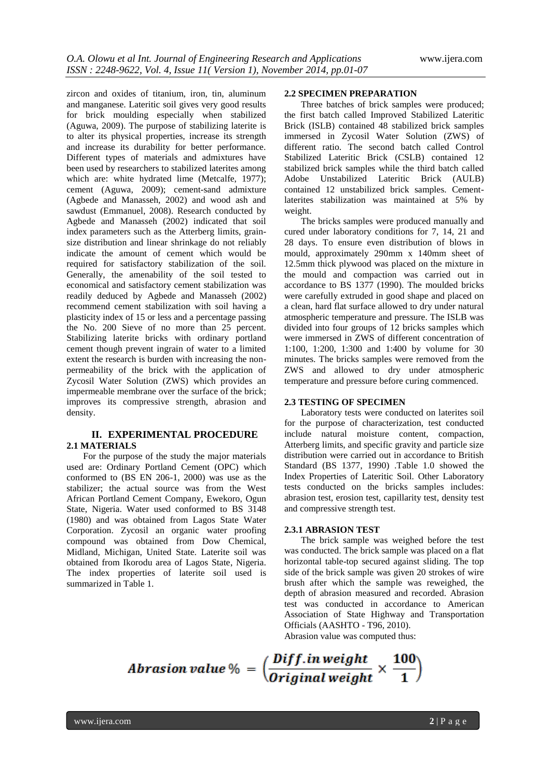zircon and oxides of titanium, iron, tin, aluminum and manganese. Lateritic soil gives very good results for brick moulding especially when stabilized (Aguwa, 2009). The purpose of stabilizing laterite is to alter its physical properties, increase its strength and increase its durability for better performance. Different types of materials and admixtures have been used by researchers to stabilized laterites among which are: white hydrated lime (Metcalfe, 1977); cement (Aguwa, 2009); cement-sand admixture (Agbede and Manasseh, 2002) and wood ash and sawdust (Emmanuel, 2008). Research conducted by Agbede and Manasseh (2002) indicated that soil index parameters such as the Atterberg limits, grainsize distribution and linear shrinkage do not reliably indicate the amount of cement which would be required for satisfactory stabilization of the soil. Generally, the amenability of the soil tested to economical and satisfactory cement stabilization was readily deduced by Agbede and Manasseh (2002) recommend cement stabilization with soil having a plasticity index of 15 or less and a percentage passing the No. 200 Sieve of no more than 25 percent. Stabilizing laterite bricks with ordinary portland cement though prevent ingrain of water to a limited extent the research is burden with increasing the nonpermeability of the brick with the application of Zycosil Water Solution (ZWS) which provides an impermeable membrane over the surface of the brick; improves its compressive strength, abrasion and density.

### **II. EXPERIMENTAL PROCEDURE 2.1 MATERIALS**

For the purpose of the study the major materials used are: Ordinary Portland Cement (OPC) which conformed to (BS EN 206-1, 2000) was use as the stabilizer; the actual source was from the West African Portland Cement Company, Ewekoro, Ogun State, Nigeria. Water used conformed to BS 3148 (1980) and was obtained from Lagos State Water Corporation. Zycosil an organic water proofing compound was obtained from Dow Chemical, Midland, Michigan, United State. Laterite soil was obtained from Ikorodu area of Lagos State, Nigeria. The index properties of laterite soil used is summarized in Table 1.

#### **2.2 SPECIMEN PREPARATION**

Three batches of brick samples were produced; the first batch called Improved Stabilized Lateritic Brick (ISLB) contained 48 stabilized brick samples immersed in Zycosil Water Solution (ZWS) of different ratio. The second batch called Control Stabilized Lateritic Brick (CSLB) contained 12 stabilized brick samples while the third batch called Adobe Unstabilized Lateritic Brick (AULB) contained 12 unstabilized brick samples. Cementlaterites stabilization was maintained at 5% by weight.

The bricks samples were produced manually and cured under laboratory conditions for 7, 14, 21 and 28 days. To ensure even distribution of blows in mould, approximately 290mm x 140mm sheet of 12.5mm thick plywood was placed on the mixture in the mould and compaction was carried out in accordance to BS 1377 (1990). The moulded bricks were carefully extruded in good shape and placed on a clean, hard flat surface allowed to dry under natural atmospheric temperature and pressure. The ISLB was divided into four groups of 12 bricks samples which were immersed in ZWS of different concentration of 1:100, 1:200, 1:300 and 1:400 by volume for 30 minutes. The bricks samples were removed from the ZWS and allowed to dry under atmospheric temperature and pressure before curing commenced.

### **2.3 TESTING OF SPECIMEN**

Laboratory tests were conducted on laterites soil for the purpose of characterization, test conducted include natural moisture content, compaction, Atterberg limits, and specific gravity and particle size distribution were carried out in accordance to British Standard (BS 1377, 1990) .Table 1.0 showed the Index Properties of Lateritic Soil. Other Laboratory tests conducted on the bricks samples includes: abrasion test, erosion test, capillarity test, density test and compressive strength test.

### **2.3.1 ABRASION TEST**

The brick sample was weighed before the test was conducted. The brick sample was placed on a flat horizontal table-top secured against sliding. The top side of the brick sample was given 20 strokes of wire brush after which the sample was reweighed, the depth of abrasion measured and recorded. Abrasion test was conducted in accordance to American Association of State Highway and Transportation Officials (AASHTO - T96, 2010).

Abrasion value was computed thus:

Abrasion value % =  $\left(\frac{Diff.inweight}{Original weight} \times \frac{100}{1}\right)$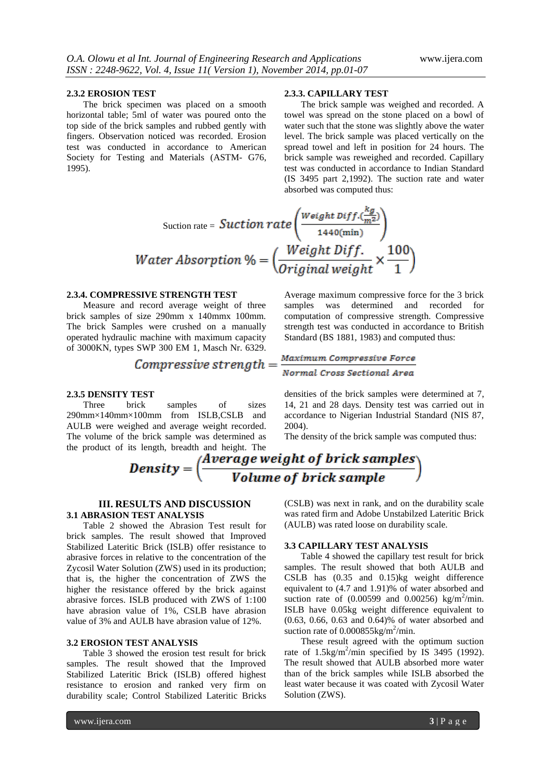#### **2.3.2 EROSION TEST**

The brick specimen was placed on a smooth horizontal table; 5ml of water was poured onto the top side of the brick samples and rubbed gently with fingers. Observation noticed was recorded. Erosion test was conducted in accordance to American Society for Testing and Materials (ASTM- G76, 1995).

#### **2.3.3. CAPILLARY TEST**

The brick sample was weighed and recorded. A towel was spread on the stone placed on a bowl of water such that the stone was slightly above the water level. The brick sample was placed vertically on the spread towel and left in position for 24 hours. The brick sample was reweighed and recorded. Capillary test was conducted in accordance to Indian Standard (IS 3495 part 2,1992). The suction rate and water absorbed was computed thus:

Section rate = 
$$
Section rate \left( \frac{Weight\ Diff. \frac{\kappa g}{m^2}}{1440(\text{min})} \right)
$$

\nWater Absorption % = 
$$
\left( \frac{Weight\ Diff.}{Original\ weight} \times \frac{100}{1} \right)
$$

### **2.3.4. COMPRESSIVE STRENGTH TEST**

Measure and record average weight of three brick samples of size 290mm x 140mmx 100mm. The brick Samples were crushed on a manually operated hydraulic machine with maximum capacity of 3000KN, types SWP 300 EM 1, Masch Nr. 6329.

*Compressive strength* = 
$$
\frac{1}{2}
$$

#### **2.3.5 DENSITY TEST**

Three brick samples of sizes 290mm×140mm×100mm from ISLB,CSLB and AULB were weighed and average weight recorded. The volume of the brick sample was determined as Average maximum compressive force for the 3 brick samples was determined and recorded for computation of compressive strength. Compressive strength test was conducted in accordance to British Standard (BS 1881, 1983) and computed thus:

# Maximum Compressive Force Normal Cross Sectional Area

densities of the brick samples were determined at 7, 14, 21 and 28 days. Density test was carried out in accordance to Nigerian Industrial Standard (NIS 87, 2004).

The density of the brick sample was computed thus:



### **III. RESULTS AND DISCUSSION 3.1 ABRASION TEST ANALYSIS**

Table 2 showed the Abrasion Test result for brick samples. The result showed that Improved Stabilized Lateritic Brick (ISLB) offer resistance to abrasive forces in relative to the concentration of the Zycosil Water Solution (ZWS) used in its production; that is, the higher the concentration of ZWS the higher the resistance offered by the brick against abrasive forces. ISLB produced with ZWS of 1:100 have abrasion value of 1%, CSLB have abrasion value of 3% and AULB have abrasion value of 12%.

### **3.2 EROSION TEST ANALYSIS**

Table 3 showed the erosion test result for brick samples. The result showed that the Improved Stabilized Lateritic Brick (ISLB) offered highest resistance to erosion and ranked very firm on durability scale; Control Stabilized Lateritic Bricks (CSLB) was next in rank, and on the durability scale was rated firm and Adobe Unstabilzed Lateritic Brick (AULB) was rated loose on durability scale.

### **3.3 CAPILLARY TEST ANALYSIS**

Table 4 showed the capillary test result for brick samples. The result showed that both AULB and CSLB has (0.35 and 0.15)kg weight difference equivalent to (4.7 and 1.91)% of water absorbed and suction rate of  $(0.00599 \text{ and } 0.00256) \text{ kg/m}^2/\text{min.}$ ISLB have 0.05kg weight difference equivalent to (0.63, 0.66, 0.63 and 0.64)% of water absorbed and suction rate of  $0.000855$ kg/m<sup>2</sup>/min.

These result agreed with the optimum suction rate of 1.5kg/m<sup>2</sup>/min specified by IS 3495 (1992). The result showed that AULB absorbed more water than of the brick samples while ISLB absorbed the least water because it was coated with Zycosil Water Solution (ZWS).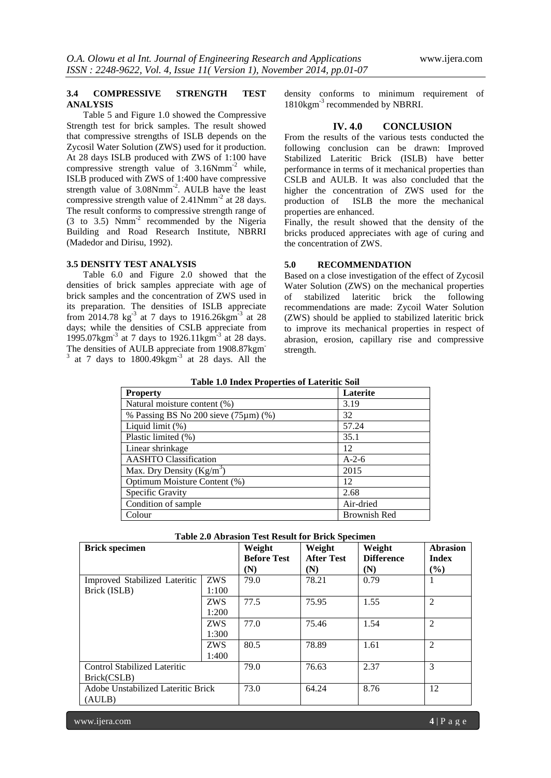### **3.4 COMPRESSIVE STRENGTH TEST ANALYSIS**

Table 5 and Figure 1.0 showed the Compressive Strength test for brick samples. The result showed that compressive strengths of ISLB depends on the Zycosil Water Solution (ZWS) used for it production. At 28 days ISLB produced with ZWS of 1:100 have compressive strength value of 3.16Nmm-2 while, ISLB produced with ZWS of 1:400 have compressive strength value of 3.08Nmm<sup>-2</sup>. AULB have the least compressive strength value of  $2.41$ Nmm<sup>-2</sup> at 28 days. The result conforms to compressive strength range of (3 to 3.5) Nmm-2 recommended by the Nigeria Building and Road Research Institute, NBRRI (Madedor and Dirisu, 1992).

### **3.5 DENSITY TEST ANALYSIS**

Table 6.0 and Figure 2.0 showed that the densities of brick samples appreciate with age of brick samples and the concentration of ZWS used in its preparation. The densities of ISLB appreciate from 2014.78  $\text{kg}^{-3}$  at 7 days to 1916.26 $\text{kg}^{-3}$  at 28 days; while the densities of CSLB appreciate from 1995.07kgm<sup>-3</sup> at 7 days to 1926.11kgm<sup>-3</sup> at 28 days. The densities of AULB appreciate from 1908.87kgm- $3$  at 7 days to 1800.49 $\text{kgm}^{-3}$  at 28 days. All the density conforms to minimum requirement of 1810kgm<sup>-3</sup> recommended by NBRRI.

### **IV. 4.0 CONCLUSION**

From the results of the various tests conducted the following conclusion can be drawn: Improved Stabilized Lateritic Brick (ISLB) have better performance in terms of it mechanical properties than CSLB and AULB. It was also concluded that the higher the concentration of ZWS used for the production of ISLB the more the mechanical properties are enhanced.

Finally, the result showed that the density of the bricks produced appreciates with age of curing and the concentration of ZWS.

#### **5.0 RECOMMENDATION**

Based on a close investigation of the effect of Zycosil Water Solution (ZWS) on the mechanical properties of stabilized lateritic brick the following recommendations are made: Zycoil Water Solution (ZWS) should be applied to stabilized lateritic brick to improve its mechanical properties in respect of abrasion, erosion, capillary rise and compressive strength.

#### **Table 1.0 Index Properties of Lateritic Soil**

| <b>Property</b>                            | Laterite            |
|--------------------------------------------|---------------------|
| Natural moisture content (%)               | 3.19                |
| % Passing BS No 200 sieve $(75 \mu m)$ (%) | 32                  |
| Liquid limit (%)                           | 57.24               |
| Plastic limited (%)                        | 35.1                |
| Linear shrinkage                           | 12                  |
| <b>AASHTO</b> Classification               | $A-2-6$             |
| Max. Dry Density $(Kg/m^3)$                | 2015                |
| Optimum Moisture Content (%)               | 12                  |
| Specific Gravity                           | 2.68                |
| Condition of sample                        | Air-dried           |
| Colour                                     | <b>Brownish Red</b> |

| <b>Brick specimen</b>              |            | Weight             | Weight            | Weight            | <b>Abrasion</b> |
|------------------------------------|------------|--------------------|-------------------|-------------------|-----------------|
|                                    |            | <b>Before Test</b> | <b>After Test</b> | <b>Difference</b> | <b>Index</b>    |
|                                    |            | (N)                | (N)               | (N)               | $($ %)          |
| Improved Stabilized Lateritic      | <b>ZWS</b> | 79.0               | 78.21             | 0.79              |                 |
| Brick (ISLB)                       | 1:100      |                    |                   |                   |                 |
|                                    | ZWS        | 77.5               | 75.95             | 1.55              | $\overline{2}$  |
|                                    | 1:200      |                    |                   |                   |                 |
|                                    | <b>ZWS</b> | 77.0               | 75.46             | 1.54              | $\overline{2}$  |
|                                    | 1:300      |                    |                   |                   |                 |
|                                    | <b>ZWS</b> | 80.5               | 78.89             | 1.61              | $\overline{2}$  |
|                                    | 1:400      |                    |                   |                   |                 |
| Control Stabilized Lateritic       |            | 79.0               | 76.63             | 2.37              | 3               |
| Brick(CSLB)                        |            |                    |                   |                   |                 |
| Adobe Unstabilized Lateritic Brick |            | 73.0               | 64.24             | 8.76              | 12              |
| (AULB)                             |            |                    |                   |                   |                 |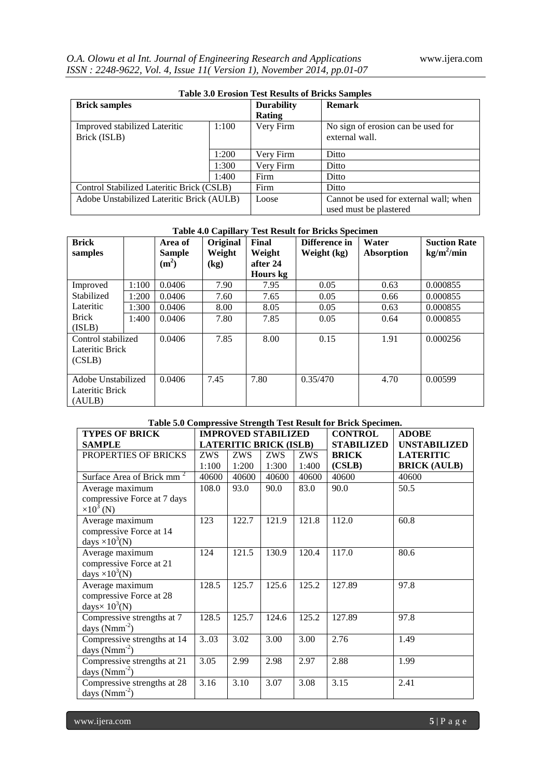| <b>Table 3.0 Erosion Test Results of Bricks Samples</b> |       |                   |                                                                  |  |  |
|---------------------------------------------------------|-------|-------------------|------------------------------------------------------------------|--|--|
| <b>Brick samples</b>                                    |       | <b>Durability</b> | <b>Remark</b>                                                    |  |  |
|                                                         |       | Rating            |                                                                  |  |  |
| Improved stabilized Lateritic                           | 1:100 | Very Firm         | No sign of erosion can be used for                               |  |  |
| Brick (ISLB)                                            |       |                   | external wall.                                                   |  |  |
|                                                         | 1:200 |                   |                                                                  |  |  |
|                                                         |       | Very Firm         | Ditto                                                            |  |  |
|                                                         | 1:300 | Very Firm         | Ditto                                                            |  |  |
|                                                         | 1:400 | Firm              | Ditto                                                            |  |  |
| Control Stabilized Lateritic Brick (CSLB)               |       | Firm              | Ditto                                                            |  |  |
| Adobe Unstabilized Lateritic Brick (AULB)               |       | Loose             | Cannot be used for external wall; when<br>used must be plastered |  |  |

| <b>Table 4.0 Capillary Test Result for Bricks Specimen</b> |       |                   |          |          |               |            |                     |
|------------------------------------------------------------|-------|-------------------|----------|----------|---------------|------------|---------------------|
| <b>Brick</b>                                               |       | Area of           | Original | Final    | Difference in | Water      | <b>Suction Rate</b> |
| samples                                                    |       | <b>Sample</b>     | Weight   | Weight   | Weight (kg)   | Absorption | $kg/m^2/min$        |
|                                                            |       | (m <sup>2</sup> ) | (kg)     | after 24 |               |            |                     |
|                                                            |       |                   |          | Hours kg |               |            |                     |
| Improved                                                   | 1:100 | 0.0406            | 7.90     | 7.95     | 0.05          | 0.63       | 0.000855            |
| Stabilized                                                 | 1:200 | 0.0406            | 7.60     | 7.65     | 0.05          | 0.66       | 0.000855            |
| Lateritic                                                  | 1:300 | 0.0406            | 8.00     | 8.05     | 0.05          | 0.63       | 0.000855            |
| <b>Brick</b>                                               | 1:400 | 0.0406            | 7.80     | 7.85     | 0.05          | 0.64       | 0.000855            |
| (ISLB)                                                     |       |                   |          |          |               |            |                     |
| Control stabilized                                         |       | 0.0406            | 7.85     | 8.00     | 0.15          | 1.91       | 0.000256            |
| Lateritic Brick                                            |       |                   |          |          |               |            |                     |
| (CSLB)                                                     |       |                   |          |          |               |            |                     |
|                                                            |       |                   |          |          |               |            |                     |
| Adobe Unstabilized                                         |       | 0.0406            | 7.45     | 7.80     | 0.35/470      | 4.70       | 0.00599             |
| Lateritic Brick                                            |       |                   |          |          |               |            |                     |
| (AULB)                                                     |       |                   |          |          |               |            |                     |

## **Table 5.0 Compressive Strength Test Result for Brick Specimen.**

| <b>TYPES OF BRICK</b>                 | <b>IMPROVED STABILIZED</b> |       |                               |            | <b>CONTROL</b>    | <b>ADOBE</b>        |
|---------------------------------------|----------------------------|-------|-------------------------------|------------|-------------------|---------------------|
| <b>SAMPLE</b>                         |                            |       | <b>LATERITIC BRICK (ISLB)</b> |            | <b>STABILIZED</b> | <b>UNSTABILIZED</b> |
| PROPERTIES OF BRICKS                  | ZWS                        | ZWS   | ZWS                           | <b>ZWS</b> | <b>BRICK</b>      | <b>LATERITIC</b>    |
|                                       | 1:100                      | 1:200 | 1:300                         | 1:400      | (CSLB)            | <b>BRICK (AULB)</b> |
| Surface Area of Brick mm <sup>2</sup> | 40600                      | 40600 | 40600                         | 40600      | 40600             | 40600               |
| Average maximum                       | 108.0                      | 93.0  | 90.0                          | 83.0       | 90.0              | 50.5                |
| compressive Force at 7 days           |                            |       |                               |            |                   |                     |
| $\times 10^3$ (N)                     |                            |       |                               |            |                   |                     |
| Average maximum                       | 123                        | 122.7 | 121.9                         | 121.8      | 112.0             | 60.8                |
| compressive Force at 14               |                            |       |                               |            |                   |                     |
| days $\times 10^3$ (N)                |                            |       |                               |            |                   |                     |
| Average maximum                       | 124                        | 121.5 | 130.9                         | 120.4      | 117.0             | 80.6                |
| compressive Force at 21               |                            |       |                               |            |                   |                     |
| days $\times 10^3$ (N)                |                            |       |                               |            |                   |                     |
| Average maximum                       | 128.5                      | 125.7 | 125.6                         | 125.2      | 127.89            | 97.8                |
| compressive Force at 28               |                            |       |                               |            |                   |                     |
| days $\times$ 10 <sup>3</sup> (N)     |                            |       |                               |            |                   |                     |
| Compressive strengths at 7            | 128.5                      | 125.7 | 124.6                         | 125.2      | 127.89            | 97.8                |
| days $(Nmm^{-2})$                     |                            |       |                               |            |                   |                     |
| Compressive strengths at 14           | 3.03                       | 3.02  | 3.00                          | 3.00       | 2.76              | 1.49                |
| days $(Nmm^{-2})$                     |                            |       |                               |            |                   |                     |
| Compressive strengths at 21           | 3.05                       | 2.99  | 2.98                          | 2.97       | 2.88              | 1.99                |
| days $(Nmm^{-2})$                     |                            |       |                               |            |                   |                     |
| Compressive strengths at 28           | 3.16                       | 3.10  | 3.07                          | 3.08       | 3.15              | 2.41                |
| days $(Nmm^{-2})$                     |                            |       |                               |            |                   |                     |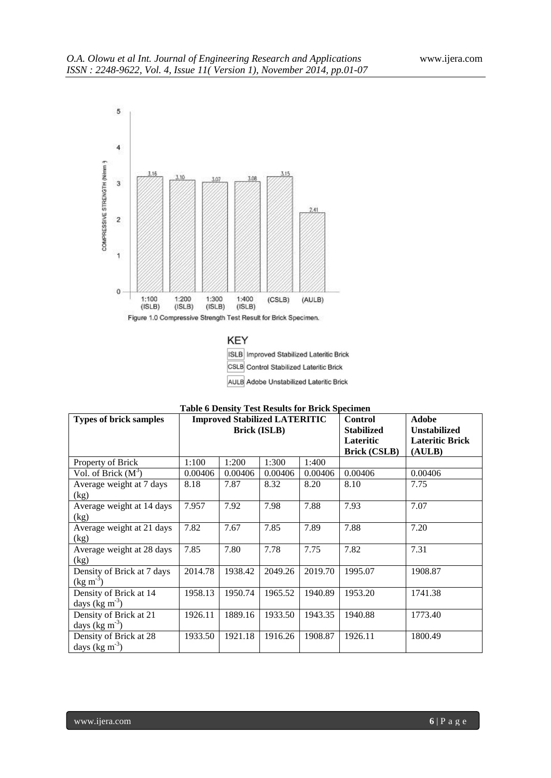

**KEY** ISLB Improved Stabilized Lateritic Brick CSLB Control Stabilized Lateritic Brick AULB Adobe Unstabilized Lateritic Brick

| <b>Types of brick samples</b>                      | Test results for Briefs specifi<br><b>Improved Stabilized LATERITIC</b><br><b>Brick (ISLB)</b> |         |         |         | <b>Control</b><br><b>Stabilized</b> | <b>Adobe</b><br><b>Unstabilized</b> |
|----------------------------------------------------|------------------------------------------------------------------------------------------------|---------|---------|---------|-------------------------------------|-------------------------------------|
|                                                    |                                                                                                |         |         |         | Lateritic<br><b>Brick (CSLB)</b>    | <b>Lateritic Brick</b><br>(AULB)    |
| Property of Brick                                  | 1:100                                                                                          | 1:200   | 1:300   | 1:400   |                                     |                                     |
| Vol. of Brick $(M^3)$                              | 0.00406                                                                                        | 0.00406 | 0.00406 | 0.00406 | 0.00406                             | 0.00406                             |
| Average weight at 7 days<br>(kg)                   | 8.18                                                                                           | 7.87    | 8.32    | 8.20    | 8.10                                | 7.75                                |
| Average weight at 14 days<br>(kg)                  | 7.957                                                                                          | 7.92    | 7.98    | 7.88    | 7.93                                | 7.07                                |
| Average weight at 21 days<br>(kg)                  | 7.82                                                                                           | 7.67    | 7.85    | 7.89    | 7.88                                | 7.20                                |
| Average weight at 28 days<br>(kg)                  | 7.85                                                                                           | 7.80    | 7.78    | 7.75    | 7.82                                | 7.31                                |
| Density of Brick at 7 days<br>$(\text{kg m}^{-3})$ | 2014.78                                                                                        | 1938.42 | 2049.26 | 2019.70 | 1995.07                             | 1908.87                             |
| Density of Brick at 14<br>days (kg $m-3$ )         | 1958.13                                                                                        | 1950.74 | 1965.52 | 1940.89 | 1953.20                             | 1741.38                             |
| Density of Brick at 21<br>days ( $\text{kg m}^3$ ) | 1926.11                                                                                        | 1889.16 | 1933.50 | 1943.35 | 1940.88                             | 1773.40                             |
| Density of Brick at 28<br>days (kg $m-3$ )         | 1933.50                                                                                        | 1921.18 | 1916.26 | 1908.87 | 1926.11                             | 1800.49                             |

|  |  | <b>Table 6 Density Test Results for Brick Specimen</b> |
|--|--|--------------------------------------------------------|
|--|--|--------------------------------------------------------|